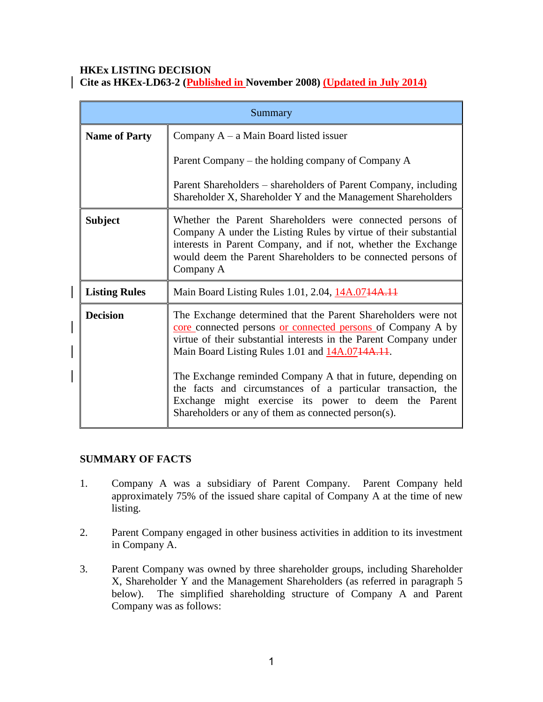### **HKEx LISTING DECISION Cite as HKEx-LD63-2 (Published in November 2008) (Updated in July 2014)**

| Summary              |                                                                                                                                                                                                                                                                                                                                                                                                                                              |
|----------------------|----------------------------------------------------------------------------------------------------------------------------------------------------------------------------------------------------------------------------------------------------------------------------------------------------------------------------------------------------------------------------------------------------------------------------------------------|
| <b>Name of Party</b> | Company $A - a$ Main Board listed issuer                                                                                                                                                                                                                                                                                                                                                                                                     |
|                      | Parent Company – the holding company of Company A                                                                                                                                                                                                                                                                                                                                                                                            |
|                      | Parent Shareholders – shareholders of Parent Company, including<br>Shareholder X, Shareholder Y and the Management Shareholders                                                                                                                                                                                                                                                                                                              |
| <b>Subject</b>       | Whether the Parent Shareholders were connected persons of<br>Company A under the Listing Rules by virtue of their substantial<br>interests in Parent Company, and if not, whether the Exchange<br>would deem the Parent Shareholders to be connected persons of<br>Company A                                                                                                                                                                 |
| <b>Listing Rules</b> | Main Board Listing Rules 1.01, 2.04, 14A.0744A.11                                                                                                                                                                                                                                                                                                                                                                                            |
| <b>Decision</b>      | The Exchange determined that the Parent Shareholders were not<br>core connected persons or connected persons of Company A by<br>virtue of their substantial interests in the Parent Company under<br>Main Board Listing Rules 1.01 and 14A.0714A.11.<br>The Exchange reminded Company A that in future, depending on<br>the facts and circumstances of a particular transaction, the<br>Exchange might exercise its power to deem the Parent |
|                      | Shareholders or any of them as connected person(s).                                                                                                                                                                                                                                                                                                                                                                                          |

## **SUMMARY OF FACTS**

- 1. Company A was a subsidiary of Parent Company. Parent Company held approximately 75% of the issued share capital of Company A at the time of new listing.
- 2. Parent Company engaged in other business activities in addition to its investment in Company A.
- 3. Parent Company was owned by three shareholder groups, including Shareholder X, Shareholder Y and the Management Shareholders (as referred in paragraph 5 below). The simplified shareholding structure of Company A and Parent Company was as follows: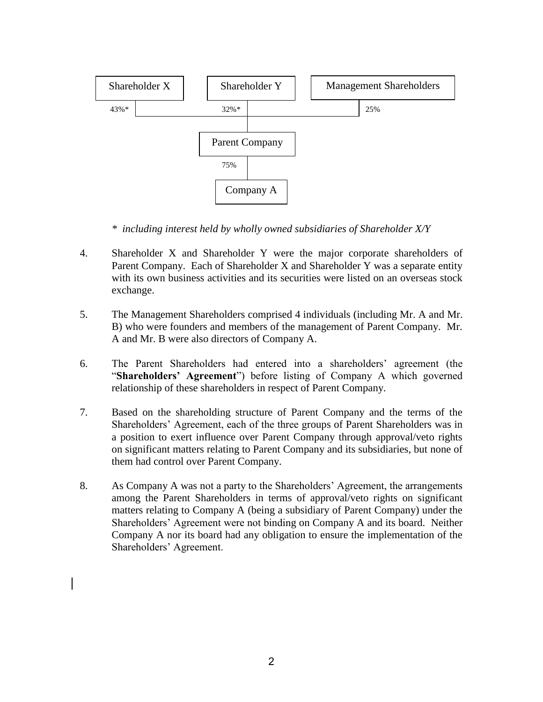

*\* including interest held by wholly owned subsidiaries of Shareholder X/Y* 

- 4. Shareholder X and Shareholder Y were the major corporate shareholders of Parent Company. Each of Shareholder X and Shareholder Y was a separate entity with its own business activities and its securities were listed on an overseas stock exchange.
- 5. The Management Shareholders comprised 4 individuals (including Mr. A and Mr. B) who were founders and members of the management of Parent Company. Mr. A and Mr. B were also directors of Company A.
- 6. The Parent Shareholders had entered into a shareholders' agreement (the "**Shareholders' Agreement**") before listing of Company A which governed relationship of these shareholders in respect of Parent Company.
- 7. Based on the shareholding structure of Parent Company and the terms of the Shareholders' Agreement, each of the three groups of Parent Shareholders was in a position to exert influence over Parent Company through approval/veto rights on significant matters relating to Parent Company and its subsidiaries, but none of them had control over Parent Company.
- 8. As Company A was not a party to the Shareholders' Agreement, the arrangements among the Parent Shareholders in terms of approval/veto rights on significant matters relating to Company A (being a subsidiary of Parent Company) under the Shareholders' Agreement were not binding on Company A and its board. Neither Company A nor its board had any obligation to ensure the implementation of the Shareholders' Agreement.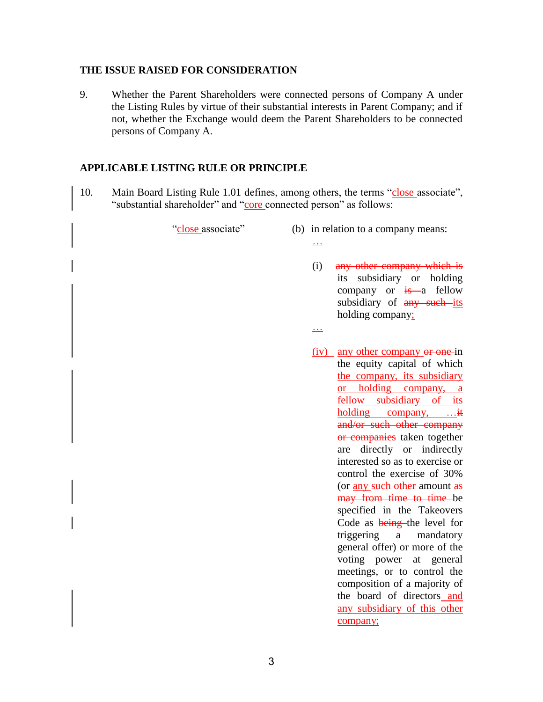#### **THE ISSUE RAISED FOR CONSIDERATION**

9. Whether the Parent Shareholders were connected persons of Company A under the Listing Rules by virtue of their substantial interests in Parent Company; and if not, whether the Exchange would deem the Parent Shareholders to be connected persons of Company A.

# **APPLICABLE LISTING RULE OR PRINCIPLE**

10. Main Board Listing Rule 1.01 defines, among others, the terms "close associate", "substantial shareholder" and "core connected person" as follows:

- "close associate" (b) in relation to a company means:
	- …
	- (i) any other company which is its subsidiary or holding company or  $\frac{1}{18}$  a fellow subsidiary of any such its holding company;
	- …
	- (iv) any other company or one in the equity capital of which the company, its subsidiary or holding company, a fellow subsidiary of its holding company,  $\dots \text{if}$ and/or such other company or companies taken together are directly or indirectly interested so as to exercise or control the exercise of 30% (or any such other amount as may from time to time be specified in the Takeovers Code as being the level for triggering a mandatory general offer) or more of the voting power at general meetings, or to control the composition of a majority of the board of directors and any subsidiary of this other company;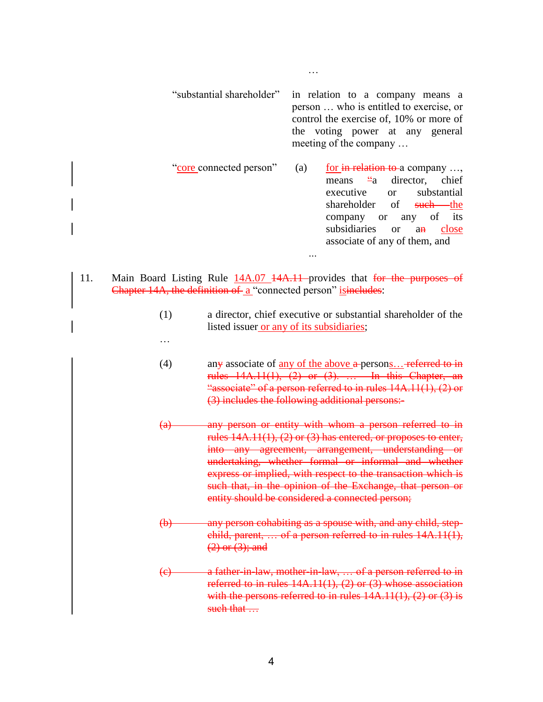"substantial shareholder" in relation to a company means a person … who is entitled to exercise, or control the exercise of, 10% or more of the voting power at any general meeting of the company …

…

- "core connected person" (a) for in relation to a company ..., means "a director, chief executive or substantial shareholder of such the company or any of its subsidiaries or an close associate of any of them, and *…*
- 11. Main Board Listing Rule 14A.07 <del>14A.11</del> provides that for the purposes of Chapter 14A, the definition of a "connected person" is includes:

…

- (1) a director, chief executive or substantial shareholder of the listed issuer or any of its subsidiaries;
- (4) any associate of any of the above  $\alpha$ -persons... referred to in rules 14A.11(1), (2) or (3). … In this Chapter, an "associate" of a person referred to in rules 14A.11(1), (2) or (3) includes the following additional persons:-
- (a) any person or entity with whom a person referred to in rules  $14A.11(1)$ ,  $(2)$  or  $(3)$  has entered, or proposes to enter, into any agreement, arrangement, understanding or undertaking, whether formal or informal and whether express or implied, with respect to the transaction which is such that, in the opinion of the Exchange, that person or entity should be considered a connected person;
- (b) any person cohabiting as a spouse with, and any child, stepchild, parent, … of a person referred to in rules 14A.11(1),  $(2)$  or  $(3)$ ; and
- $(e)$  a father-in-law, mother-in-law, ... of a person referred to in referred to in rules  $14A.11(1)$ ,  $(2)$  or  $(3)$  whose association with the persons referred to in rules  $14A.11(1)$ ,  $(2)$  or  $(3)$  is such that ...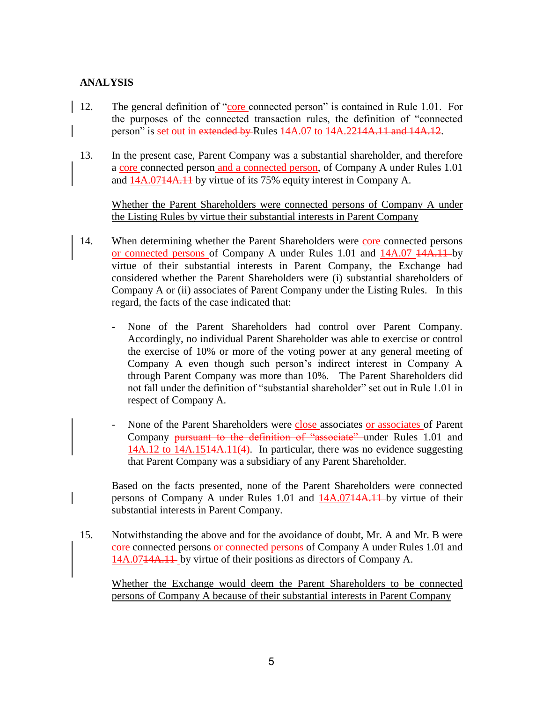## **ANALYSIS**

- 12. The general definition of "core connected person" is contained in Rule 1.01. For the purposes of the connected transaction rules, the definition of "connected person" is set out in extended by Rules 14A.07 to 14A.2214A.11 and 14A.12.
- 13. In the present case, Parent Company was a substantial shareholder, and therefore a core connected person and a connected person, of Company A under Rules 1.01 and  $14A.0714A.11$  by virtue of its 75% equity interest in Company A.

Whether the Parent Shareholders were connected persons of Company A under the Listing Rules by virtue their substantial interests in Parent Company

- 14. When determining whether the Parent Shareholders were core connected persons or connected persons of Company A under Rules 1.01 and 14A.07 14A.11 by virtue of their substantial interests in Parent Company, the Exchange had considered whether the Parent Shareholders were (i) substantial shareholders of Company A or (ii) associates of Parent Company under the Listing Rules. In this regard, the facts of the case indicated that:
	- None of the Parent Shareholders had control over Parent Company. Accordingly, no individual Parent Shareholder was able to exercise or control the exercise of 10% or more of the voting power at any general meeting of Company A even though such person's indirect interest in Company A through Parent Company was more than 10%. The Parent Shareholders did not fall under the definition of "substantial shareholder" set out in Rule 1.01 in respect of Company A.
	- None of the Parent Shareholders were close associates or associates of Parent Company pursuant to the definition of "associate" under Rules 1.01 and 14A.12 to 14A.1514A.11(4). In particular, there was no evidence suggesting that Parent Company was a subsidiary of any Parent Shareholder.

Based on the facts presented, none of the Parent Shareholders were connected persons of Company A under Rules 1.01 and 14A.0714A.11 by virtue of their substantial interests in Parent Company.

15. Notwithstanding the above and for the avoidance of doubt, Mr. A and Mr. B were core connected persons or connected persons of Company A under Rules 1.01 and 14A.0714A.11 by virtue of their positions as directors of Company A.

Whether the Exchange would deem the Parent Shareholders to be connected persons of Company A because of their substantial interests in Parent Company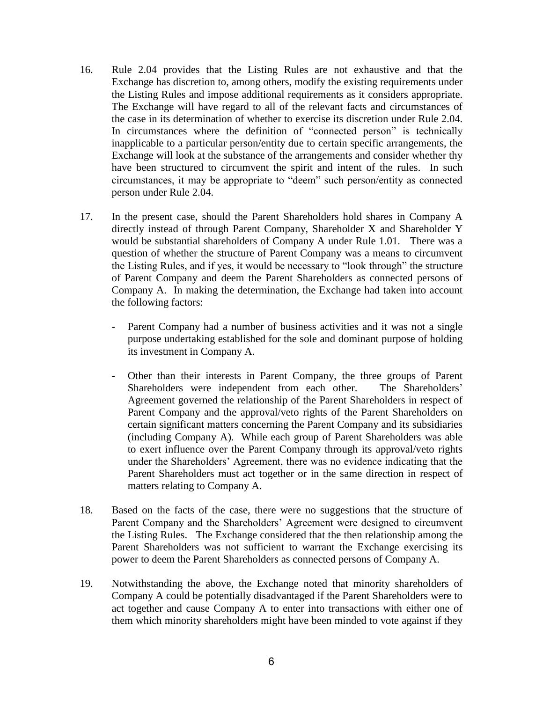- 16. Rule 2.04 provides that the Listing Rules are not exhaustive and that the Exchange has discretion to, among others, modify the existing requirements under the Listing Rules and impose additional requirements as it considers appropriate. The Exchange will have regard to all of the relevant facts and circumstances of the case in its determination of whether to exercise its discretion under Rule 2.04. In circumstances where the definition of "connected person" is technically inapplicable to a particular person/entity due to certain specific arrangements, the Exchange will look at the substance of the arrangements and consider whether thy have been structured to circumvent the spirit and intent of the rules. In such circumstances, it may be appropriate to "deem" such person/entity as connected person under Rule 2.04.
- 17. In the present case, should the Parent Shareholders hold shares in Company A directly instead of through Parent Company, Shareholder X and Shareholder Y would be substantial shareholders of Company A under Rule 1.01. There was a question of whether the structure of Parent Company was a means to circumvent the Listing Rules, and if yes, it would be necessary to "look through" the structure of Parent Company and deem the Parent Shareholders as connected persons of Company A. In making the determination, the Exchange had taken into account the following factors:
	- Parent Company had a number of business activities and it was not a single purpose undertaking established for the sole and dominant purpose of holding its investment in Company A.
	- Other than their interests in Parent Company, the three groups of Parent Shareholders were independent from each other. The Shareholders' Agreement governed the relationship of the Parent Shareholders in respect of Parent Company and the approval/veto rights of the Parent Shareholders on certain significant matters concerning the Parent Company and its subsidiaries (including Company A). While each group of Parent Shareholders was able to exert influence over the Parent Company through its approval/veto rights under the Shareholders' Agreement, there was no evidence indicating that the Parent Shareholders must act together or in the same direction in respect of matters relating to Company A.
- 18. Based on the facts of the case, there were no suggestions that the structure of Parent Company and the Shareholders' Agreement were designed to circumvent the Listing Rules. The Exchange considered that the then relationship among the Parent Shareholders was not sufficient to warrant the Exchange exercising its power to deem the Parent Shareholders as connected persons of Company A.
- 19. Notwithstanding the above, the Exchange noted that minority shareholders of Company A could be potentially disadvantaged if the Parent Shareholders were to act together and cause Company A to enter into transactions with either one of them which minority shareholders might have been minded to vote against if they